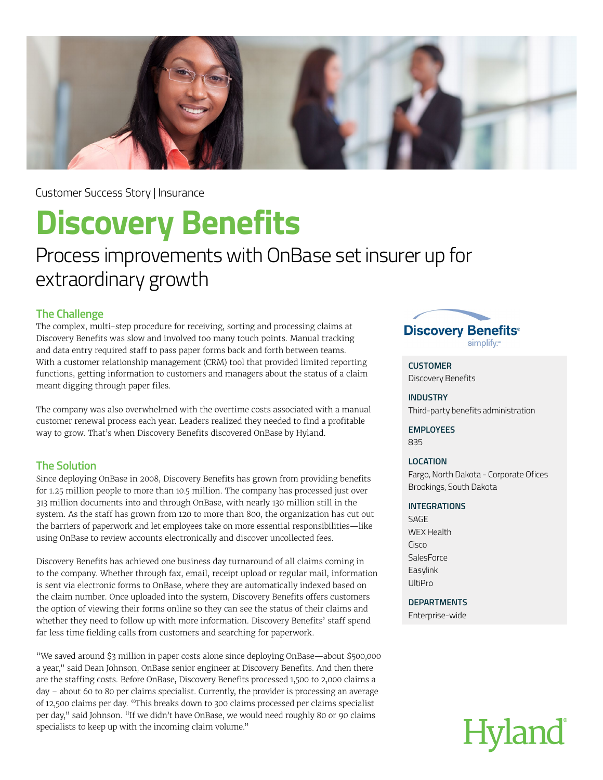

Customer Success Story | Insurance

## **Discovery Benefits**

### Process improvements with OnBase set insurer up for extraordinary growth

#### **The Challenge**

The complex, multi-step procedure for receiving, sorting and processing claims at Discovery Benefits was slow and involved too many touch points. Manual tracking and data entry required staff to pass paper forms back and forth between teams. With a customer relationship management (CRM) tool that provided limited reporting functions, getting information to customers and managers about the status of a claim meant digging through paper files.

The company was also overwhelmed with the overtime costs associated with a manual customer renewal process each year. Leaders realized they needed to find a profitable way to grow. That's when Discovery Benefits discovered OnBase by Hyland.

#### **The Solution**

Since deploying OnBase in 2008, Discovery Benefits has grown from providing benefits for 1.25 million people to more than 10.5 million. The company has processed just over 313 million documents into and through OnBase, with nearly 130 million still in the system. As the staff has grown from 120 to more than 800, the organization has cut out the barriers of paperwork and let employees take on more essential responsibilities—like using OnBase to review accounts electronically and discover uncollected fees.

Discovery Benefits has achieved one business day turnaround of all claims coming in to the company. Whether through fax, email, receipt upload or regular mail, information is sent via electronic forms to OnBase, where they are automatically indexed based on the claim number. Once uploaded into the system, Discovery Benefits offers customers the option of viewing their forms online so they can see the status of their claims and whether they need to follow up with more information. Discovery Benefits' staff spend far less time fielding calls from customers and searching for paperwork.

"We saved around \$3 million in paper costs alone since deploying OnBase—about \$500,000 a year," said Dean Johnson, OnBase senior engineer at Discovery Benefits. And then there are the staffing costs. Before OnBase, Discovery Benefits processed 1,500 to 2,000 claims a day – about 60 to 80 per claims specialist. Currently, the provider is processing an average of 12,500 claims per day. "This breaks down to 300 claims processed per claims specialist per day," said Johnson. "If we didn't have OnBase, we would need roughly 80 or 90 claims specialists to keep up with the incoming claim volume."



**CUSTOMER** Discovery Benefits

**INDUSTRY** Third-party benefits administration

**EMPLOYEES** 835

#### **LOCATION**

Fargo, North Dakota - Corporate Ofices Brookings, South Dakota

#### **INTEGRATIONS**

SAGE WEX Health Cisco **SalesForce** Easylink UltiPro

#### **DEPARTMENTS**

Enterprise-wide

# **Hyland**